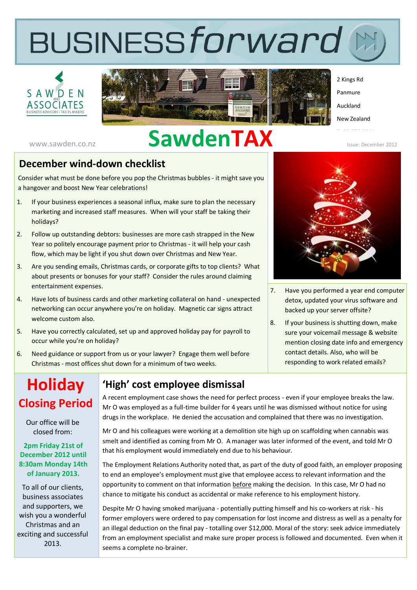# **BUSINESSforward**





2 Kings Rd Panmure Auckland New Zealand

# www.sawden.co.nz **SawdenTAX**

Issue: December 2012

#### **December wind-down checklist**

Consider what must be done before you pop the Christmas bubbles - it might save you a hangover and boost New Year celebrations!

- 1. If your business experiences a seasonal influx, make sure to plan the necessary marketing and increased staff measures. When will your staff be taking their holidays?
- 2. Follow up outstanding debtors: businesses are more cash strapped in the New Year so politely encourage payment prior to Christmas - it will help your cash flow, which may be light if you shut down over Christmas and New Year.
- 3. Are you sending emails, Christmas cards, or corporate gifts to top clients? What about presents or bonuses for your staff? Consider the rules around claiming entertainment expenses.
- 4. Have lots of business cards and other marketing collateral on hand unexpected networking can occur anywhere you're on holiday. Magnetic car signs attract welcome custom also.
- 5. Have you correctly calculated, set up and approved holiday pay for payroll to occur while you're on holiday?
- 6. Need guidance or support from us or your lawyer? Engage them well before Christmas - most offices shut down for a minimum of two weeks.

# **Holiday Closing Period**

Our office will be closed from:

#### **2pm Friday 21st of December 2012 until 8:30am Monday 14th of January 2013.**

To all of our clients, business associates and supporters, we wish you a wonderful Christmas and an exciting and successful 2013.

#### **'High' cost employee dismissal**

A recent employment case shows the need for perfect process - even if your employee breaks the law. Mr O was employed as a full-time builder for 4 years until he was dismissed without notice for using drugs in the workplace. He denied the accusation and complained that there was no investigation.

Mr O and his colleagues were working at a demolition site high up on scaffolding when cannabis was smelt and identified as coming from Mr O. A manager was later informed of the event, and told Mr O that his employment would immediately end due to his behaviour.

The Employment Relations Authority noted that, as part of the duty of good faith, an employer proposing to end an employee's employment must give that employee access to relevant information and the opportunity to comment on that information before making the decision. In this case, Mr O had no chance to mitigate his conduct as accidental or make reference to his employment history.

Despite Mr O having smoked marijuana - potentially putting himself and his co-workers at risk - his former employers were ordered to pay compensation for lost income and distress as well as a penalty for an illegal deduction on the final pay - totalling over \$12,000. Moral of the story: seek advice immediately from an employment specialist and make sure proper process is followed and documented. Even when it seems a complete no-brainer.



- 7. Have you performed a year end computer detox, updated your virus software and backed up your server offsite?
- 8. If your business is shutting down, make sure your voicemail message & website mention closing date info and emergency contact details. Also, who will be responding to work related emails?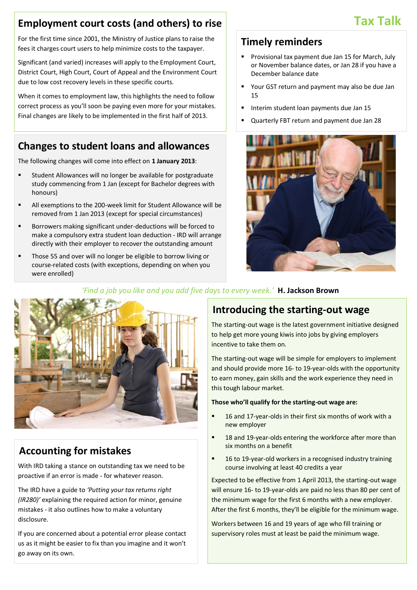#### **Employment court costs (and others) to rise**

For the first time since 2001, the Ministry of Justice plans to raise the fees it charges court users to help minimize costs to the taxpayer.

Significant (and varied) increases will apply to the Employment Court, District Court, High Court, Court of Appeal and the Environment Court due to low cost recovery levels in these specific courts.

When it comes to employment law, this highlights the need to follow correct process as you'll soon be paying even more for your mistakes. Final changes are likely to be implemented in the first half of 2013.

#### **Changes to student loans and allowances**

The following changes will come into effect on **1 January 2013**:

- Student Allowances will no longer be available for postgraduate study commencing from 1 Jan (except for Bachelor degrees with honours)
- All exemptions to the 200-week limit for Student Allowance will be removed from 1 Jan 2013 (except for special circumstances)
- Borrowers making significant under-deductions will be forced to make a compulsory extra student loan deduction - IRD will arrange directly with their employer to recover the outstanding amount
- **Those 55 and over will no longer be eligible to borrow living or** course-related costs (with exceptions, depending on when you were enrolled)

#### **Timely reminders**

- Provisional tax payment due Jan 15 for March, July or November balance dates, or Jan 28 if you have a December balance date
- Your GST return and payment may also be due Jan 15
- Interim student loan payments due Jan 15
- Quarterly FBT return and payment due Jan 28





#### *'Find a job you like and you add five days to every week.'* **H. Jackson Brown**

#### **Accounting for mistakes**

With IRD taking a stance on outstanding tax we need to be proactive if an error is made - for whatever reason.

The IRD have a guide to *'Putting your tax returns right (IR280)'* explaining the required action for minor, genuine mistakes - it also outlines how to make a voluntary disclosure.

If you are concerned about a potential error please contact us as it might be easier to fix than you imagine and it won't go away on its own.

#### **Introducing the starting-out wage**

The starting-out wage is the latest government initiative designed to help get more young kiwis into jobs by giving employers incentive to take them on.

The starting-out wage will be simple for employers to implement and should provide more 16- to 19-year-olds with the opportunity to earn money, gain skills and the work experience they need in this tough labour market.

#### **Those who'll qualify for the starting-out wage are:**

- 16 and 17-year-olds in their first six months of work with a new employer
- 18 and 19-year-olds entering the workforce after more than six months on a benefit
- 16 to 19-year-old workers in a recognised industry training course involving at least 40 credits a year

Expected to be effective from 1 April 2013, the starting-out wage will ensure 16- to 19-year-olds are paid no less than 80 per cent of the minimum wage for the first 6 months with a new employer. After the first 6 months, they'll be eligible for the minimum wage.

Workers between 16 and 19 years of age who fill training or supervisory roles must at least be paid the minimum wage.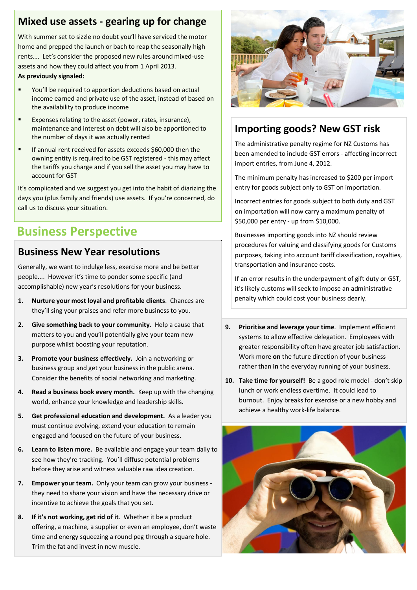#### **Mixed use assets - gearing up for change**

With summer set to sizzle no doubt you'll have serviced the motor home and prepped the launch or bach to reap the seasonally high rents…. Let's consider the proposed new rules around mixed-use assets and how they could affect you from 1 April 2013.

#### **As previously signaled:**

- You'll be required to apportion deductions based on actual income earned and private use of the asset, instead of based on the availability to produce income
- **EXPENSES FERIGE THE ASSET (POWER, rates, insurance),** maintenance and interest on debt will also be apportioned to the number of days it was actually rented
- If annual rent received for assets exceeds \$60,000 then the owning entity is required to be GST registered - this may affect the tariffs you charge and if you sell the asset you may have to account for GST

It's complicated and we suggest you get into the habit of diarizing the days you (plus family and friends) use assets. If you're concerned, do call us to discuss your situation.

## **Business Perspective**

#### **Business New Year resolutions**

Generally, we want to indulge less, exercise more and be better people.... However it's time to ponder some specific (and accomplishable) new year's resolutions for your business.

- **1. Nurture your most loyal and profitable clients**. Chances are they'll sing your praises and refer more business to you.
- **2. Give something back to your community.** Help a cause that matters to you and you'll potentially give your team new purpose whilst boosting your reputation.
- **3. Promote your business effectively.** Join a networking or business group and get your business in the public arena. Consider the benefits of social networking and marketing.
- **4. Read a business book every month.** Keep up with the changing world, enhance your knowledge and leadership skills.
- **5. Get professional education and development.** As a leader you must continue evolving, extend your education to remain engaged and focused on the future of your business.
- **6. Learn to listen more.** Be available and engage your team daily to see how they're tracking. You'll diffuse potential problems before they arise and witness valuable raw idea creation.
- **7. Empower your team.** Only your team can grow your business they need to share your vision and have the necessary drive or incentive to achieve the goals that you set.
- **8. If it's not working, get rid of it**. Whether it be a product offering, a machine, a supplier or even an employee, don't waste time and energy squeezing a round peg through a square hole. Trim the fat and invest in new muscle.



#### **Importing goods? New GST risk**

The administrative penalty regime for NZ Customs has been amended to include GST errors - affecting incorrect import entries, from June 4, 2012.

The minimum penalty has increased to \$200 per import entry for goods subject only to GST on importation.

Incorrect entries for goods subject to both duty and GST on importation will now carry a maximum penalty of \$50,000 per entry - up from \$10,000.

Businesses importing goods into NZ should review procedures for valuing and classifying goods for Customs purposes, taking into account tariff classification, royalties, transportation and insurance costs.

If an error results in the underpayment of gift duty or GST, it's likely customs will seek to impose an administrative penalty which could cost your business dearly.

- **9. Prioritise and leverage your time**. Implement efficient systems to allow effective delegation. Employees with greater responsibility often have greater job satisfaction. Work more **on** the future direction of your business rather than **in** the everyday running of your business.
- **10. Take time for yourself!** Be a good role model don't skip lunch or work endless overtime. It could lead to burnout. Enjoy breaks for exercise or a new hobby and achieve a healthy work-life balance.